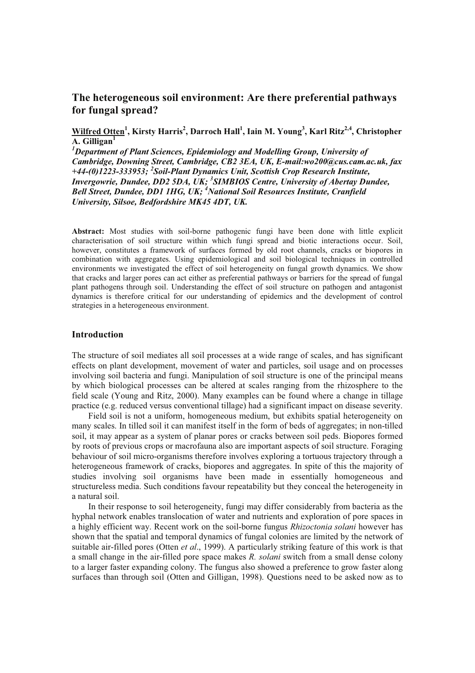# **The heterogeneous soil environment: Are there preferential pathways for fungal spread?**

**Wilfred Otten<sup>1</sup> , Kirsty Harris<sup>2</sup> , Darroch Hall<sup>1</sup> , Iain M. Young<sup>3</sup> , Karl Ritz2,4, Christopher A. Gilligan<sup>1</sup>**

*<sup>1</sup>Department of Plant Sciences, Epidemiology and Modelling Group, University of Cambridge, Downing Street, Cambridge, CB2 3EA, UK, E-mail:wo200@cus.cam.ac.uk, fax +44-(0)1223-333953; <sup>2</sup> Soil-Plant Dynamics Unit, Scottish Crop Research Institute, Invergowrie, Dundee, DD2 5DA, UK; <sup>3</sup> SIMBIOS Centre, University of Abertay Dundee, Bell Street, Dundee, DD1 1HG, UK; <sup>4</sup>National Soil Resources Institute, Cranfield University, Silsoe, Bedfordshire MK45 4DT, UK.* 

**Abstract:** Most studies with soil-borne pathogenic fungi have been done with little explicit characterisation of soil structure within which fungi spread and biotic interactions occur. Soil, however, constitutes a framework of surfaces formed by old root channels, cracks or biopores in combination with aggregates. Using epidemiological and soil biological techniques in controlled environments we investigated the effect of soil heterogeneity on fungal growth dynamics. We show that cracks and larger pores can act either as preferential pathways or barriers for the spread of fungal plant pathogens through soil. Understanding the effect of soil structure on pathogen and antagonist dynamics is therefore critical for our understanding of epidemics and the development of control strategies in a heterogeneous environment.

## **Introduction**

The structure of soil mediates all soil processes at a wide range of scales, and has significant effects on plant development, movement of water and particles, soil usage and on processes involving soil bacteria and fungi. Manipulation of soil structure is one of the principal means by which biological processes can be altered at scales ranging from the rhizosphere to the field scale (Young and Ritz, 2000). Many examples can be found where a change in tillage practice (e.g. reduced versus conventional tillage) had a significant impact on disease severity.

Field soil is not a uniform, homogeneous medium, but exhibits spatial heterogeneity on many scales. In tilled soil it can manifest itself in the form of beds of aggregates; in non-tilled soil, it may appear as a system of planar pores or cracks between soil peds. Biopores formed by roots of previous crops or macrofauna also are important aspects of soil structure. Foraging behaviour of soil micro-organisms therefore involves exploring a tortuous trajectory through a heterogeneous framework of cracks, biopores and aggregates. In spite of this the majority of studies involving soil organisms have been made in essentially homogeneous and structureless media. Such conditions favour repeatability but they conceal the heterogeneity in a natural soil.

In their response to soil heterogeneity, fungi may differ considerably from bacteria as the hyphal network enables translocation of water and nutrients and exploration of pore spaces in a highly efficient way. Recent work on the soil-borne fungus *Rhizoctonia solani* however has shown that the spatial and temporal dynamics of fungal colonies are limited by the network of suitable air-filled pores (Otten *et al*., 1999). A particularly striking feature of this work is that a small change in the air-filled pore space makes *R. solani* switch from a small dense colony to a larger faster expanding colony. The fungus also showed a preference to grow faster along surfaces than through soil (Otten and Gilligan, 1998). Questions need to be asked now as to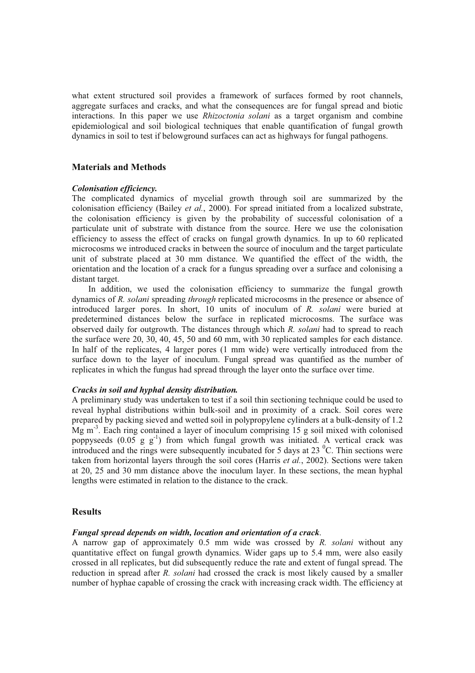what extent structured soil provides a framework of surfaces formed by root channels, aggregate surfaces and cracks, and what the consequences are for fungal spread and biotic interactions. In this paper we use *Rhizoctonia solani* as a target organism and combine epidemiological and soil biological techniques that enable quantification of fungal growth dynamics in soil to test if belowground surfaces can act as highways for fungal pathogens.

## **Materials and Methods**

#### *Colonisation efficiency.*

The complicated dynamics of mycelial growth through soil are summarized by the colonisation efficiency (Bailey *et al.*, 2000). For spread initiated from a localized substrate, the colonisation efficiency is given by the probability of successful colonisation of a particulate unit of substrate with distance from the source. Here we use the colonisation efficiency to assess the effect of cracks on fungal growth dynamics. In up to 60 replicated microcosms we introduced cracks in between the source of inoculum and the target particulate unit of substrate placed at 30 mm distance. We quantified the effect of the width, the orientation and the location of a crack for a fungus spreading over a surface and colonising a distant target.

 In addition, we used the colonisation efficiency to summarize the fungal growth dynamics of *R. solani* spreading *through* replicated microcosms in the presence or absence of introduced larger pores. In short, 10 units of inoculum of *R. solani* were buried at predetermined distances below the surface in replicated microcosms. The surface was observed daily for outgrowth. The distances through which *R. solani* had to spread to reach the surface were 20, 30, 40, 45, 50 and 60 mm, with 30 replicated samples for each distance. In half of the replicates, 4 larger pores (1 mm wide) were vertically introduced from the surface down to the layer of inoculum. Fungal spread was quantified as the number of replicates in which the fungus had spread through the layer onto the surface over time.

## *Cracks in soil and hyphal density distribution.*

A preliminary study was undertaken to test if a soil thin sectioning technique could be used to reveal hyphal distributions within bulk-soil and in proximity of a crack. Soil cores were prepared by packing sieved and wetted soil in polypropylene cylinders at a bulk-density of 1.2 Mg  $m<sup>3</sup>$ . Each ring contained a layer of inoculum comprising 15 g soil mixed with colonised poppyseeds  $(0.05 \text{ g g}^{-1})$  from which fungal growth was initiated. A vertical crack was introduced and the rings were subsequently incubated for 5 days at 23  $^{\circ}$ C. Thin sections were taken from horizontal layers through the soil cores (Harris *et al.*, 2002). Sections were taken at 20, 25 and 30 mm distance above the inoculum layer. In these sections, the mean hyphal lengths were estimated in relation to the distance to the crack.

# **Results**

#### *Fungal spread depends on width, location and orientation of a crack*.

A narrow gap of approximately 0.5 mm wide was crossed by *R. solani* without any quantitative effect on fungal growth dynamics. Wider gaps up to 5.4 mm, were also easily crossed in all replicates, but did subsequently reduce the rate and extent of fungal spread. The reduction in spread after *R. solani* had crossed the crack is most likely caused by a smaller number of hyphae capable of crossing the crack with increasing crack width. The efficiency at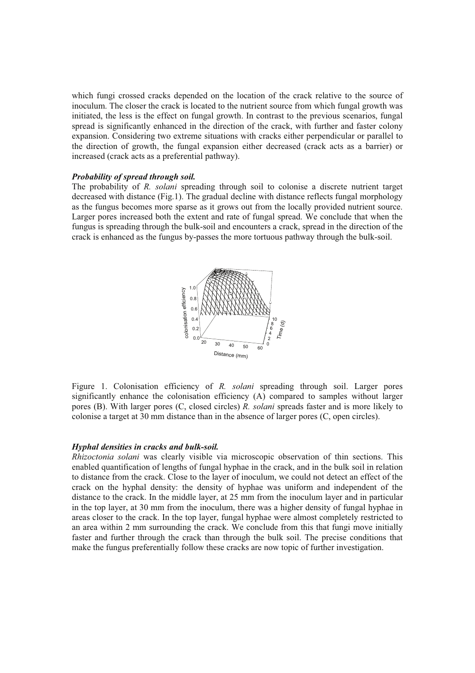which fungi crossed cracks depended on the location of the crack relative to the source of inoculum. The closer the crack is located to the nutrient source from which fungal growth was initiated, the less is the effect on fungal growth. In contrast to the previous scenarios, fungal spread is significantly enhanced in the direction of the crack, with further and faster colony expansion. Considering two extreme situations with cracks either perpendicular or parallel to the direction of growth, the fungal expansion either decreased (crack acts as a barrier) or increased (crack acts as a preferential pathway).

#### *Probability of spread through soil.*

The probability of *R. solani* spreading through soil to colonise a discrete nutrient target decreased with distance (Fig.1). The gradual decline with distance reflects fungal morphology as the fungus becomes more sparse as it grows out from the locally provided nutrient source. Larger pores increased both the extent and rate of fungal spread. We conclude that when the fungus is spreading through the bulk-soil and encounters a crack, spread in the direction of the crack is enhanced as the fungus by-passes the more tortuous pathway through the bulk-soil.



Figure 1. Colonisation efficiency of *R. solani* spreading through soil. Larger pores significantly enhance the colonisation efficiency (A) compared to samples without larger pores (B). With larger pores (C, closed circles) *R. solani* spreads faster and is more likely to colonise a target at 30 mm distance than in the absence of larger pores (C, open circles).

#### *Hyphal densities in cracks and bulk-soil.*

*Rhizoctonia solani* was clearly visible via microscopic observation of thin sections. This enabled quantification of lengths of fungal hyphae in the crack, and in the bulk soil in relation to distance from the crack. Close to the layer of inoculum, we could not detect an effect of the crack on the hyphal density: the density of hyphae was uniform and independent of the distance to the crack. In the middle layer, at 25 mm from the inoculum layer and in particular in the top layer, at 30 mm from the inoculum, there was a higher density of fungal hyphae in areas closer to the crack. In the top layer, fungal hyphae were almost completely restricted to an area within 2 mm surrounding the crack. We conclude from this that fungi move initially faster and further through the crack than through the bulk soil. The precise conditions that make the fungus preferentially follow these cracks are now topic of further investigation.